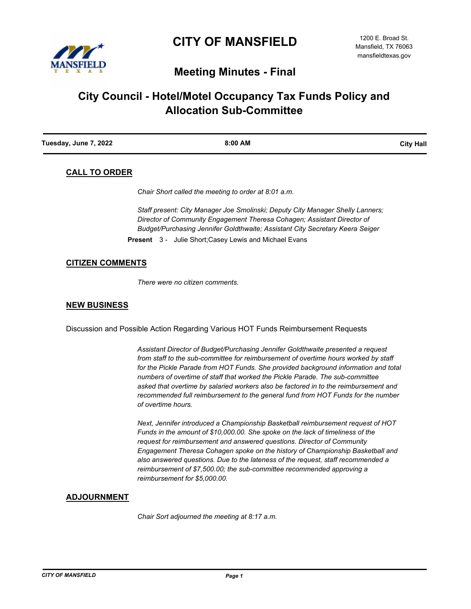

# **Meeting Minutes - Final**

# **City Council - Hotel/Motel Occupancy Tax Funds Policy and Allocation Sub-Committee**

| Tuesday, June 7, 2022 | 8:00 AM | <b>City Hall</b> |
|-----------------------|---------|------------------|
|                       |         |                  |

# **CALL TO ORDER**

*Chair Short called the meeting to order at 8:01 a.m.*

*Staff present: City Manager Joe Smolinski; Deputy City Manager Shelly Lanners; Director of Community Engagement Theresa Cohagen; Assistant Director of Budget/Purchasing Jennifer Goldthwaite; Assistant City Secretary Keera Seiger*

**Present** 3 - Julie Short;Casey Lewis and Michael Evans

#### **CITIZEN COMMENTS**

*There were no citizen comments.*

### **NEW BUSINESS**

Discussion and Possible Action Regarding Various HOT Funds Reimbursement Requests

*Assistant Director of Budget/Purchasing Jennifer Goldthwaite presented a request from staff to the sub-committee for reimbursement of overtime hours worked by staff for the Pickle Parade from HOT Funds. She provided background information and total numbers of overtime of staff that worked the Pickle Parade. The sub-committee asked that overtime by salaried workers also be factored in to the reimbursement and recommended full reimbursement to the general fund from HOT Funds for the number of overtime hours.*

*Next, Jennifer introduced a Championship Basketball reimbursement request of HOT Funds in the amount of \$10,000.00. She spoke on the lack of timeliness of the request for reimbursement and answered questions. Director of Community Engagement Theresa Cohagen spoke on the history of Championship Basketball and also answered questions. Due to the lateness of the request, staff recommended a reimbursement of \$7,500.00; the sub-committee recommended approving a reimbursement for \$5,000.00.*

## **ADJOURNMENT**

*Chair Sort adjourned the meeting at 8:17 a.m.*